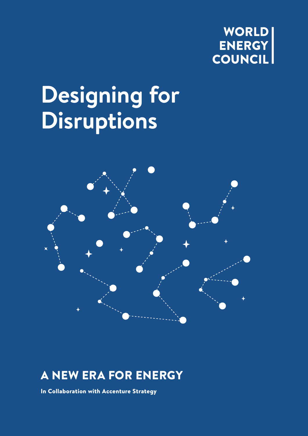

# **Designing for Disruptions**



# A NEW ERA FOR ENERGY

In Collaboration with Accenture Strategy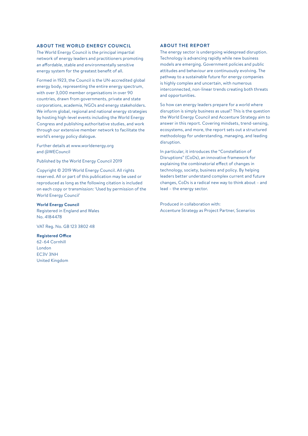#### **ABOUT THE WORLD ENERGY COUNCIL**

The World Energy Council is the principal impartial network of energy leaders and practitioners promoting an affordable, stable and environmentally sensitive energy system for the greatest benefit of all.

Formed in 1923, the Council is the UN-accredited global energy body, representing the entire energy spectrum, with over 3,000 member organisations in over 90 countries, drawn from governments, private and state corporations, academia, NGOs and energy stakeholders. We inform global, regional and national energy strategies by hosting high-level events including the World Energy Congress and publishing authoritative studies, and work through our extensive member network to facilitate the world's energy policy dialogue.

Further details at www.worldenergy.org and @WECouncil

Published by the World Energy Council 2019

Copyright © 2019 World Energy Council. All rights reserved. All or part of this publication may be used or reproduced as long as the following citation is included on each copy or transmission: 'Used by permission of the World Energy Council'

#### **World Energy Council**

Registered in England and Wales No. 4184478

VAT Reg. No. GB 123 3802 48

#### **Registered Office**

62–64 Cornhill London EC3V 3NH United Kingdom

#### **ABOUT THE REPORT**

The energy sector is undergoing widespread disruption. Technology is advancing rapidly while new business models are emerging. Government policies and public attitudes and behaviour are continuously evolving. The pathway to a sustainable future for energy companies is highly complex and uncertain, with numerous interconnected, non-linear trends creating both threats and opportunities.

So how can energy leaders prepare for a world where disruption is simply business as usual? This is the question the World Energy Council and Accenture Strategy aim to answer in this report. Covering mindsets, trend-sensing, ecosystems, and more, the report sets out a structured methodology for understanding, managing, and leading disruption.

In particular, it introduces the "Constellation of Disruptions" (CoDs), an innovative framework for explaining the combinatorial effect of changes in technology, society, business and policy. By helping leaders better understand complex current and future changes, CoDs is a radical new way to think about – and lead – the energy sector.

Produced in collaboration with: Accenture Strategy as Project Partner, Scenarios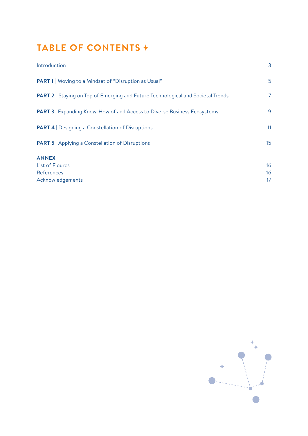# **TABLE OF CONTENTS**

| Introduction                                                                          | 3                |
|---------------------------------------------------------------------------------------|------------------|
| <b>PART 1</b>   Moving to a Mindset of "Disruption as Usual"                          | 5                |
| <b>PART 2</b> Staying on Top of Emerging and Future Technological and Societal Trends | 7                |
| <b>PART 3</b> Expanding Know-How of and Access to Diverse Business Ecosystems         | 9                |
| <b>PART 4</b> Designing a Constellation of Disruptions                                | 11               |
| <b>PART 5</b> Applying a Constellation of Disruptions                                 | 15 <sub>15</sub> |
| <b>ANNEX</b>                                                                          |                  |
| List of Figures                                                                       | 16               |
| References                                                                            | 16               |
| Acknowledgements                                                                      | 17               |

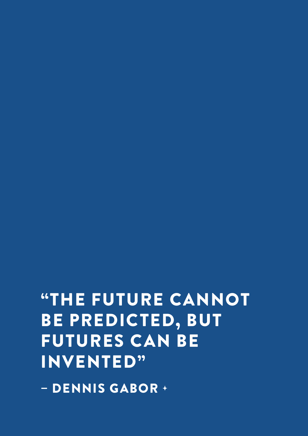FUTURES CAN BE INVENTED" – DENNIS GABOR

"THE FUTURE CANNOT BE PREDICTED, BUT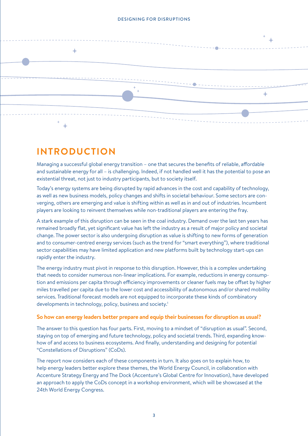

# **INTRODUCTION**

Managing a successful global energy transition – one that secures the benefits of reliable, affordable and sustainable energy for all – is challenging. Indeed, if not handled well it has the potential to pose an existential threat, not just to industry participants, but to society itself.

Today's energy systems are being disrupted by rapid advances in the cost and capability of technology, as well as new business models, policy changes and shifts in societal behaviour. Some sectors are converging, others are emerging and value is shifting within as well as in and out of industries. Incumbent players are looking to reinvent themselves while non-traditional players are entering the fray.

A stark example of this disruption can be seen in the coal industry. Demand over the last ten years has remained broadly flat, yet significant value has left the industry as a result of major policy and societal change. The power sector is also undergoing disruption as value is shifting to new forms of generation and to consumer-centred energy services (such as the trend for "smart everything"), where traditional sector capabilities may have limited application and new platforms built by technology start-ups can rapidly enter the industry.

The energy industry must pivot in response to this disruption. However, this is a complex undertaking that needs to consider numerous non-linear implications. For example, reductions in energy consumption and emissions per capita through efficiency improvements or cleaner fuels may be offset by higher miles travelled per capita due to the lower cost and accessibility of autonomous and/or shared mobility services. Traditional forecast models are not equipped to incorporate these kinds of combinatory developments in technology, policy, business and society.<sup>1</sup>

#### **So how can energy leaders better prepare and equip their businesses for disruption as usual?**

The answer to this question has four parts. First, moving to a mindset of "disruption as usual". Second, staying on top of emerging and future technology, policy and societal trends. Third, expanding knowhow of and access to business ecosystems. And finally, understanding and designing for potential "Constellations of Disruptions" (CoDs).

The report now considers each of these components in turn. It also goes on to explain how, to help energy leaders better explore these themes, the World Energy Council, in collaboration with Accenture Strategy Energy and The Dock (Accenture's Global Centre for Innovation), have developed an approach to apply the CoDs concept in a workshop environment, which will be showcased at the 24th World Energy Congress.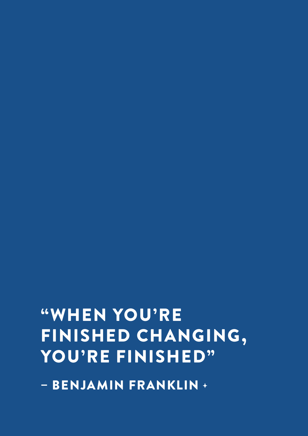– BENJAMIN FRANKLIN +

# "WHEN YOU'RE FINISHED CHANGING, YOU'RE FINISHED"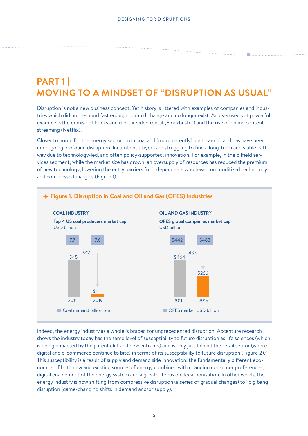# **PART 1 | MOVING TO A MINDSET OF "DISRUPTION AS USUAL"**

Disruption is not a new business concept. Yet history is littered with examples of companies and industries which did not respond fast enough to rapid change and no longer exist. An overused yet powerful example is the demise of bricks and mortar video rental (Blockbuster) and the rise of online content streaming (Netflix).

Closer to home for the energy sector, both coal and (more recently) upstream oil and gas have been undergoing profound disruption. Incumbent players are struggling to find a long-term and viable pathway due to technology-led, and often policy-supported, innovation. For example, in the oilfield services segment, while the market size has grown, an oversupply of resources has reduced the premium of new technology, lowering the entry barriers for independents who have commoditized technology and compressed margins (Figure 1).



Indeed, the energy industry as a whole is braced for unprecedented disruption. Accenture research shows the industry today has the same level of susceptibility to future disruption as life sciences (which is being impacted by the patent cliff and new entrants) and is only just behind the retail sector (where digital and e-commerce continue to bite) in terms of its susceptibility to future disruption (Figure 2).<sup>2</sup> This susceptibility is a result of supply and demand side innovation: the fundamentally different economics of both new and existing sources of energy combined with changing consumer preferences, digital enablement of the energy system and a greater focus on decarbonisation. In other words, the energy industry is now shifting from compressive disruption (a series of gradual changes) to "big bang" disruption (game-changing shifts in demand and/or supply).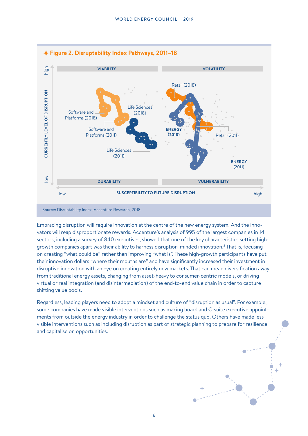

Embracing disruption will require innovation at the centre of the new energy system. And the innovators will reap disproportionate rewards. Accenture's analysis of 995 of the largest companies in 14 sectors, including a survey of 840 executives, showed that one of the key characteristics setting highgrowth companies apart was their ability to harness disruption-minded innovation.<sup>3</sup> That is, focusing on creating "what could be" rather than improving "what is". These high-growth participants have put their innovation dollars "where their mouths are" and have significantly increased their investment in disruptive innovation with an eye on creating entirely new markets. That can mean diversification away from traditional energy assets, changing from asset-heavy to consumer-centric models, or driving virtual or real integration (and disintermediation) of the end-to-end value chain in order to capture shifting value pools.

Regardless, leading players need to adopt a mindset and culture of "disruption as usual". For example, some companies have made visible interventions such as making board and C-suite executive appointments from outside the energy industry in order to challenge the status quo. Others have made less visible interventions such as including disruption as part of strategic planning to prepare for resilience and capitalise on opportunities.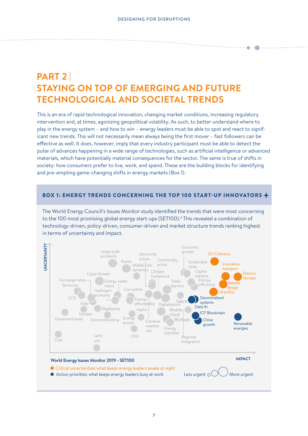# **PART 2 | STAYING ON TOP OF EMERGING AND FUTURE TECHNOLOGICAL AND SOCIETAL TRENDS**

This is an era of rapid technological innovation, changing market conditions, increasing regulatory intervention and, at times, agonizing geopolitical volatility. As such, to better understand where to play in the energy system – and how to win – energy leaders must be able to spot and react to significant new trends. This will not necessarily mean always being the first mover – fast followers can be effective as well. It does, however, imply that every industry participant must be able to detect the pulse of advances happening in a wide range of technologies, such as artificial intelligence or advanced materials, which have potentially material consequences for the sector. The same is true of shifts in society: how consumers prefer to live, work, and spend. These are the building blocks for identifying and pre-empting game-changing shifts in energy markets (Box 1).

### BOX 1: ENERGY TRENDS CONCERNING THE TOP 100 START-UP INNOVATORS

The World Energy Council's Issues Monitor study identified the trends that were most concerning to the 100 most promising global energy start-ups (SET100).<sup>4</sup> This revealed a combination of technology-driven, policy-driven, consumer-driven and market structure trends ranking highest in terms of uncertainty and impact.

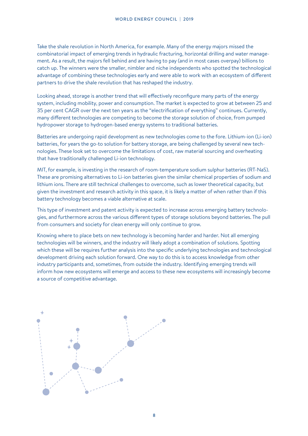Take the shale revolution in North America, for example. Many of the energy majors missed the combinatorial impact of emerging trends in hydraulic fracturing, horizontal drilling and water management. As a result, the majors fell behind and are having to pay (and in most cases overpay) billions to catch up. The winners were the smaller, nimbler and niche independents who spotted the technological advantage of combining these technologies early and were able to work with an ecosystem of different partners to drive the shale revolution that has reshaped the industry.

Looking ahead, storage is another trend that will effectively reconfigure many parts of the energy system, including mobility, power and consumption. The market is expected to grow at between 25 and 35 per cent CAGR over the next ten years as the "electrification of everything" continues. Currently, many different technologies are competing to become the storage solution of choice, from pumped hydropower storage to hydrogen-based energy systems to traditional batteries.

Batteries are undergoing rapid development as new technologies come to the fore. Lithium-ion (Li-ion) batteries, for years the go-to solution for battery storage, are being challenged by several new technologies. These look set to overcome the limitations of cost, raw material sourcing and overheating that have traditionally challenged Li-ion technology.

MIT, for example, is investing in the research of room-temperature sodium sulphur batteries (RT-NaS). These are promising alternatives to Li-ion batteries given the similar chemical properties of sodium and lithium ions. There are still technical challenges to overcome, such as lower theoretical capacity, but given the investment and research activity in this space, it is likely a matter of when rather than if this battery technology becomes a viable alternative at scale.

This type of investment and patent activity is expected to increase across emerging battery technologies, and furthermore across the various different types of storage solutions beyond batteries. The pull from consumers and society for clean energy will only continue to grow.

Knowing where to place bets on new technology is becoming harder and harder. Not all emerging technologies will be winners, and the industry will likely adopt a combination of solutions. Spotting which these will be requires further analysis into the specific underlying technologies and technological development driving each solution forward. One way to do this is to access knowledge from other industry participants and, sometimes, from outside the industry. Identifying emerging trends will inform how new ecosystems will emerge and access to these new ecosystems will increasingly become a source of competitive advantage.

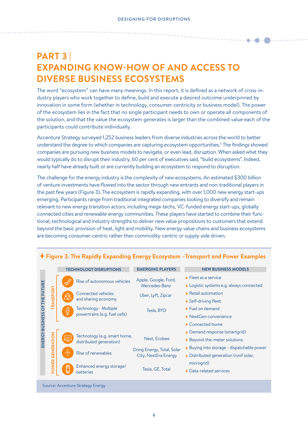# **PART 3 | EXPANDING KNOW-HOW OF AND ACCESS TO DIVERSE BUSINESS ECOSYSTEMS**

The word "ecosystem" can have many meanings. In this report, it is defined as a network of cross-industry players who work together to define, build and execute a desired outcome underpinned by innovation in some form (whether in technology, consumer-centricity or business model). The power of the ecosystem lies in the fact that no single participant needs to own or operate all components of the solution, and that the value the ecosystem generates is larger than the combined value each of the participants could contribute individually.

Accenture Strategy surveyed 1,252 business leaders from diverse industries across the world to better understand the degree to which companies are capturing ecosystem opportunities.<sup>5</sup> The findings showed companies are pursuing new business models to navigate, or even lead, disruption. When asked what they would typically do to disrupt their industry, 60 per cent of executives said, "build ecosystems". Indeed, nearly half have already built or are currently building an ecosystem to respond to disruption.

The challenge for the energy industry is the complexity of new ecosystems. An estimated \$300 billion of venture investments have flowed into the sector through new entrants and non-traditional players in the past few years (Figure 3). The ecosystem is rapidly expanding, with over 1,000 new energy start-ups emerging. Participants range from traditional integrated companies looking to diversify and remain relevant to new energy transition actors, including mega-techs, VC-funded energy start-ups, globally connected cities and renewable energy communities. These players have started to combine their functional, technological and industry strengths to deliver new value propositions to customers that extend beyond the basic provision of heat, light and mobility. New energy value chains and business ecosystems are becoming consumer-centric rather than commodity-centric or supply-side driven.

|                         |                   |   | <b>TECHNOLOGY DISRUPTIONS</b>                           | <b>EMERGING PLAYERS</b>                           | <b>NEW BUSINESS MODELS</b>                                                                      |
|-------------------------|-------------------|---|---------------------------------------------------------|---------------------------------------------------|-------------------------------------------------------------------------------------------------|
| <b>FUTURE</b><br>ENERGY |                   |   | Rise of autonomous vehicles                             | Apple, Google, Ford,<br>Mercedes-Benz             | $\div$ Fleet as a service<br>$\triangle$ Logistic systems e.g. always connected                 |
|                         | TRANSPORT         |   | <b>Connected vehicles</b><br>and sharing economy        | Uber, Lyft, Zipcar                                | $\overline{ }$ Retail automation<br>$\div$ Self-driving fleet                                   |
|                         |                   |   | Technology - Multiple<br>powertrains (e.g. fuel cells)  | Tesla, BYD                                        | $+$ Fuel on demand<br>$\rightarrow$ NextGen convenience                                         |
|                         |                   |   |                                                         |                                                   | + Connected home                                                                                |
|                         |                   |   | Technology (e.g. smart home,<br>distributed generation) | Nest, Ecobee                                      | + Demand response (smartgrid)<br>$\triangle$ Beyond-the-meter solutions                         |
|                         | <b>GENERATION</b> |   | Rise of renewables                                      | Dong Energy, Total, Solar<br>City, NextEra Energy | $\rightarrow$ Buying into storage - dispatchable power<br>+ Distributed generation (roof solar, |
|                         | <b>POWER</b>      | C | Enhanced energy storage/<br><b>batteries</b>            | Tesla, GE, Total                                  | microgrid)<br>$\triangle$ Data-related services                                                 |
|                         |                   |   |                                                         |                                                   |                                                                                                 |

### **Figure 3. The Rapidly Expanding Energy Ecosystem –Transport and Power Examples**

Source: Accenture Strategy Energy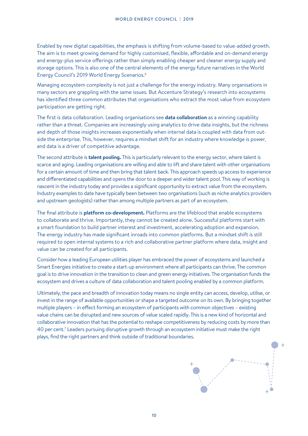Enabled by new digital capabilities, the emphasis is shifting from volume-based to value-added growth. The aim is to meet growing demand for highly customised, flexible, affordable and on-demand energy and energy-plus service offerings rather than simply enabling cheaper and cleaner energy supply and storage options. This is also one of the central elements of the energy future narratives in the World Energy Council's 2019 World Energy Scenarios.6

Managing ecosystem complexity is not just a challenge for the energy industry. Many organisations in many sectors are grappling with the same issues. But Accenture Strategy's research into ecosystems has identified three common attributes that organisations who extract the most value from ecosystem participation are getting right.

The first is data collaboration. Leading organisations see **data collaboration** as a winning capability rather than a threat. Companies are increasingly using analytics to drive data insights, but the richness and depth of those insights increases exponentially when internal data is coupled with data from outside the enterprise. This, however, requires a mindset shift for an industry where knowledge is power, and data is a driver of competitive advantage.

The second attribute is **talent pooling.** This is particularly relevant to the energy sector, where talent is scarce and aging. Leading organisations are willing and able to lift and share talent with other organisations for a certain amount of time and then bring that talent back. This approach speeds up access to experience and differentiated capabilities and opens the door to a deeper and wider talent pool. This way of working is nascent in the industry today and provides a significant opportunity to extract value from the ecosystem. Industry examples to date have typically been between two organisations (such as niche analytics providers and upstream geologists) rather than among multiple partners as part of an ecosystem.

The final attribute is **platform co-development.** Platforms are the lifeblood that enable ecosystems to collaborate and thrive. Importantly, they cannot be created alone. Successful platforms start with a smart foundation to build partner interest and investment, accelerating adoption and expansion. The energy industry has made significant inroads into common platforms. But a mindset shift is still required to open internal systems to a rich and collaborative partner platform where data, insight and value can be created for all participants.

Consider how a leading European utilities player has embraced the power of ecosystems and launched a Smart Energies initiative to create a start-up environment where all participants can thrive. The common goal is to drive innovation in the transition to clean and green energy initiatives. The organisation funds the ecosystem and drives a culture of data collaboration and talent pooling enabled by a common platform.

Ultimately, the pace and breadth of innovation today means no single entity can access, develop, utilise, or invest in the range of available opportunities or shape a targeted outcome on its own. By bringing together multiple players – in effect forming an ecosystem of participants with common objectives – existing value chains can be disrupted and new sources of value scaled rapidly. This is a new kind of horizontal and collaborative innovation that has the potential to reshape competitiveness by reducing costs by more than 40 per cent.7 Leaders pursuing disruptive growth through an ecosystem initiative must make the right plays, find the right partners and think outside of traditional boundaries.

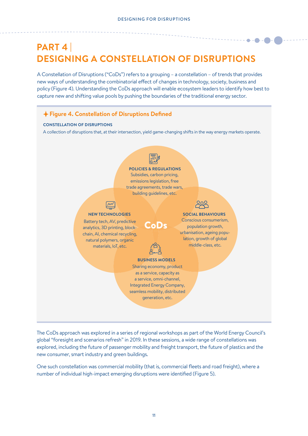# **PART 4 | DESIGNING A CONSTELLATION OF DISRUPTIONS**

A Constellation of Disruptions ("CoDs") refers to a grouping – a constellation – of trends that provides new ways of understanding the combinatorial effect of changes in technology, society, business and policy (Figure 4). Understanding the CoDs approach will enable ecosystem leaders to identify how best to capture new and shifting value pools by pushing the boundaries of the traditional energy sector.



The CoDs approach was explored in a series of regional workshops as part of the World Energy Council's global "foresight and scenarios refresh" in 2019. In these sessions, a wide range of constellations was explored, including the future of passenger mobility and freight transport, the future of plastics and the new consumer, smart industry and green buildings.

One such constellation was commercial mobility (that is, commercial fleets and road freight), where a number of individual high-impact emerging disruptions were identified (Figure 5).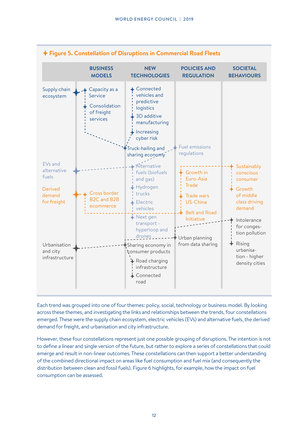

Each trend was grouped into one of four themes: policy, social, technology or business model. By looking across these themes, and investigating the links and relationships between the trends, four constellations emerged. These were the supply chain ecosystem, electric vehicles (EVs) and alternative fuels, the derived demand for freight, and urbanisation and city infrastructure.

However, these four constellations represent just one possible grouping of disruptions. The intention is not to define a linear and single version of the future, but rather to explore a series of constellations that could emerge and result in non-linear outcomes. These constellations can then support a better understanding of the combined directional impact on areas like fuel consumption and fuel mix (and consequently the distribution between clean and fossil fuels). Figure 6 highlights, for example, how the impact on fuel consumption can be assessed.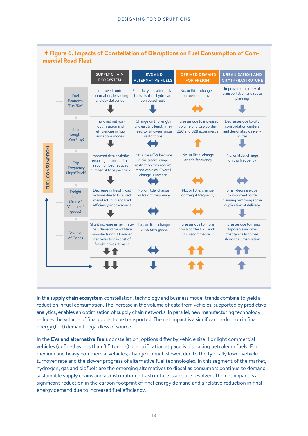

In the **supply chain ecosystem** constellation, technology and business model trends combine to yield a reduction in fuel consumption. The increase in the volume of data from vehicles, supported by predictive analytics, enables an optimisation of supply chain networks. In parallel, new manufacturing technology reduces the volume of final goods to be transported. The net impact is a significant reduction in final energy (fuel) demand, regardless of source.

In the **EVs and alternative fuels** constellation, options differ by vehicle size. For light commercial vehicles (defined as less than 3.5 tonnes), electrification at pace is displacing petroleum fuels. For medium and heavy commercial vehicles, change is much slower, due to the typically lower vehicle turnover rate and the slower progress of alternative fuel technologies. In this segment of the market, hydrogen, gas and biofuels are the emerging alternatives to diesel as consumers continue to demand sustainable supply chains and as distribution infrastructure issues are resolved. The net impact is a significant reduction in the carbon footprint of final energy demand and a relative reduction in final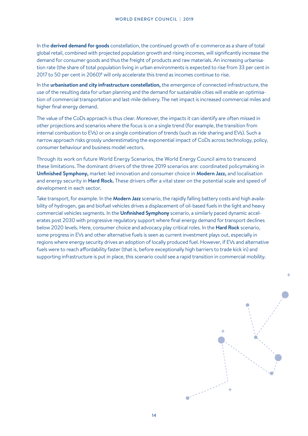In the **derived demand for goods** constellation, the continued growth of e-commerce as a share of total global retail, combined with projected population growth and rising incomes, will significantly increase the demand for consumer goods and thus the freight of products and raw materials. An increasing urbanisation rate (the share of total population living in urban environments is expected to rise from 33 per cent in 2017 to 50 per cent in 2060)<sup>8</sup> will only accelerate this trend as incomes continue to rise.

In the **urbanisation and city infrastructure constellation,** the emergence of connected infrastructure, the use of the resulting data for urban planning and the demand for sustainable cities will enable an optimisation of commercial transportation and last-mile delivery. The net impact is increased commercial miles and higher final energy demand.

The value of the CoDs approach is thus clear. Moreover, the impacts it can identify are often missed in other projections and scenarios where the focus is on a single trend (for example, the transition from internal combustion to EVs) or on a single combination of trends (such as ride sharing and EVs). Such a narrow approach risks grossly underestimating the exponential impact of CoDs across technology, policy, consumer behaviour and business model vectors.

Through its work on future World Energy Scenarios, the World Energy Council aims to transcend these limitations. The dominant drivers of the three 2019 scenarios are: coordinated policymaking in **Unfinished Symphony,** market-led innovation and consumer choice in **Modern Jazz,** and localisation and energy security in **Hard Rock.** These drivers offer a vital steer on the potential scale and speed of development in each sector.

Take transport, for example. In the **Modern Jazz** scenario, the rapidly falling battery costs and high availability of hydrogen, gas and biofuel vehicles drives a displacement of oil-based fuels in the light and heavy commercial vehicles segments. In the **Unfinished Symphony** scenario, a similarly paced dynamic accelerates post 2030 with progressive regulatory support where final energy demand for transport declines below 2020 levels. Here, consumer choice and advocacy play critical roles. In the **Hard Rock** scenario, some progress in EVs and other alternative fuels is seen as current investment plays out, especially in regions where energy security drives an adoption of locally produced fuel. However, if EVs and alternative fuels were to reach affordability faster (that is, before exceptionally high barriers to trade kick in) and supporting infrastructure is put in place, this scenario could see a rapid transition in commercial mobility.

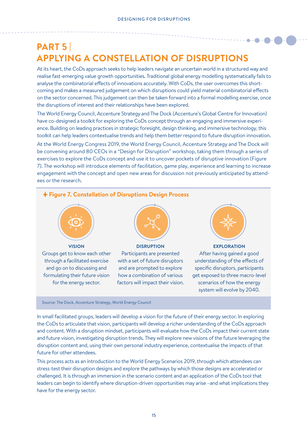# **PART 5 | APPLYING A CONSTELLATION OF DISRUPTIONS**

At its heart, the CoDs approach seeks to help leaders navigate an uncertain world in a structured way and realise fast-emerging value growth opportunities. Traditional global energy modelling systematically fails to analyse the combinatorial effects of innovations accurately. With CoDs, the user overcomes this shortcoming and makes a measured judgement on which disruptions could yield material combinatorial effects on the sector concerned. This judgement can then be taken forward into a formal modelling exercise, once the disruptions of interest and their relationships have been explored.

The World Energy Council, Accenture Strategy and The Dock (Accenture's Global Centre for Innovation) have co-designed a toolkit for exploring the CoDs concept through an engaging and immersive experience. Building on leading practices in strategic foresight, design thinking, and immersive technology, this toolkit can help leaders contextualise trends and help them better respond to future disruption innovation.

At the World Energy Congress 2019, the World Energy Council, Accenture Strategy and The Dock will be convening around 80 CEOs in a "Design for Disruption" workshop, taking them through a series of exercises to explore the CoDs concept and use it to uncover pockets of disruptive innovation (Figure 7). The workshop will introduce elements of facilitation, game play, experience and learning to increase engagement with the concept and open new areas for discussion not previously anticipated by attendees or the research.



In small facilitated groups, leaders will develop a vision for the future of their energy sector. In exploring the CoDs to articulate that vision, participants will develop a richer understanding of the CoDs approach and content. With a disruption mindset, participants will evaluate how the CoDs impact their current state and future vision, investigating disruption trends. They will explore new visions of the future leveraging the disruption content and, using their own personal industry experience, contextualise the impacts of that future for other attendees.

This process acts as an introduction to the World Energy Scenarios 2019, through which attendees can stress-test their disruption designs and explore the pathways by which those designs are accelerated or challenged. It is through an immersion in the scenario content and an application of the CoDs tool that leaders can begin to identify where disruption-driven opportunities may arise –and what implications they have for the energy sector.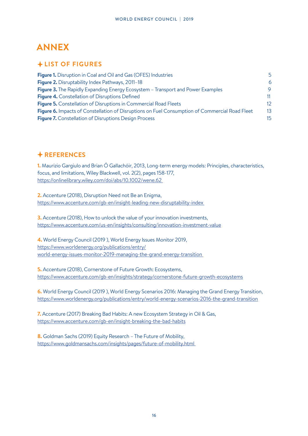# **ANNEX**

### **LIST OF FIGURES**

| <b>Figure 1.</b> Disruption in Coal and Oil and Gas (OFES) Industries                          | 5                |
|------------------------------------------------------------------------------------------------|------------------|
| <b>Figure 2.</b> Disruptability Index Pathways, 2011-18                                        | 6                |
| <b>Figure 3.</b> The Rapidly Expanding Energy Ecosystem – Transport and Power Examples         | 9                |
| <b>Figure 4.</b> Constellation of Disruptions Defined                                          | 11               |
| <b>Figure 5.</b> Constellation of Disruptions in Commercial Road Fleets                        | 12 <sup>°</sup>  |
| Figure 6. Impacts of Constellation of Disruptions on Fuel Consumption of Commercial Road Fleet | 13               |
| <b>Figure 7.</b> Constellation of Disruptions Design Process                                   | 15 <sub>15</sub> |

## **REFERENCES**

**1.** Maurizio Gargiulo and Brian Ó Gallachóir, 2013, Long-term energy models: Principles, characteristics, focus, and limitations, Wiley Blackwell, vol. 2(2), pages 158-177, https://onlinelibrary.wiley.com/doi/abs/10.1002/wene.62

**2.** Accenture (2018), Disruption Need not Be an Enigma, https://www.accenture.com/gb-en/insight-leading-new-disruptability-index

**3.** Accenture (2018), How to unlock the value of your innovation investments, https://www.accenture.com/us-en/insights/consulting/innovation-investment-value

**4.** World Energy Council (2019 ), World Energy Issues Monitor 2019, https://www.worldenergy.org/publications/entry/ world-energy-issues-monitor-2019-managing-the-grand-energy-transition

**5.** Accenture (2018), Cornerstone of Future Growth: Ecosystems, https://www.accenture.com/gb-en/insights/strategy/cornerstone-future-growth-ecosystems

**6.** World Energy Council (2019 ), World Energy Scenarios 2016: Managing the Grand Energy Transition, https://www.worldenergy.org/publications/entry/world-energy-scenarios-2016-the-grand-transition

**7.** Accenture (2017) Breaking Bad Habits: A new Ecosystem Strategy in Oil & Gas, https://www.accenture.com/gb-en/insight-breaking-the-bad-habits

**8.** Goldman Sachs (2019) Equity Research – The Future of Mobility, https://www.goldmansachs.com/insights/pages/future-of-mobility.html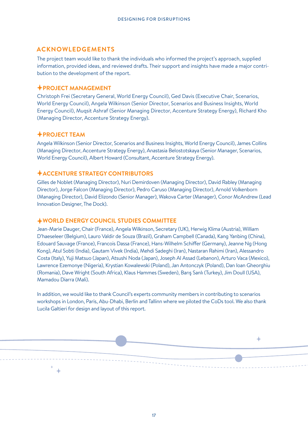### **ACKNOWLEDGEMENTS**

The project team would like to thank the individuals who informed the project's approach, supplied information, provided ideas, and reviewed drafts. Their support and insights have made a major contribution to the development of the report.

### **PROJECT MANAGEMENT**

Christoph Frei (Secretary General, World Energy Council), Ged Davis (Executive Chair, Scenarios, World Energy Council), Angela Wilkinson (Senior Director, Scenarios and Business Insights, World Energy Council), Muqsit Ashraf (Senior Managing Director, Accenture Strategy Energy), Richard Kho (Managing Director, Accenture Strategy Energy).

### **PROJECT TEAM**

Angela Wilkinson (Senior Director, Scenarios and Business Insights, World Energy Council), James Collins (Managing Director, Accenture Strategy Energy), Anastasia Belostotskaya (Senior Manager, Scenarios, World Energy Council), Albert Howard (Consultant, Accenture Strategy Energy).

### **ACCENTURE STRATEGY CONTRIBUTORS**

Gilles de Noblet (Managing Director), Nuri Demirdoven (Managing Director), David Rabley (Managing Director), Jorge Falcon (Managing Director), Pedro Caruso (Managing Director), Arnold Volkenborn (Managing Director), David Elizondo (Senior Manager), Wakova Carter (Manager), Conor McAndrew (Lead Innovation Designer, The Dock).

### **WORLD ENERGY COUNCIL STUDIES COMMITTEE**

Jean-Marie Dauger, Chair (France), Angela Wilkinson, Secretary (UK), Herwig Klima (Austria), William D'haeseleer (Belgium), Lauro Valdir de Souza (Brazil), Graham Campbell (Canada), Kang Yanbing (China), Edouard Sauvage (France), Francois Dassa (France), Hans-Wilhelm Schiffer (Germany), Jeanne Ng (Hong Kong), Atul Sobti (India), Gautam Vivek (India), Mehdi Sadeghi (Iran), Nastaran Rahimi (Iran), Alessandro Costa (Italy), Yuji Matsuo (Japan), Atsushi Noda (Japan), Joseph Al Assad (Lebanon), Arturo Vaca (Mexico), Lawrence Ezemonye (Nigeria), Krystian Kowalewski (Poland), Jan Antonczyk (Poland), Dan Ioan Gheorghiu (Romania), Dave Wright (South Africa), Klaus Hammes (Sweden), Barış Sanlı (Turkey), Jim Doull (USA), Mamadou Diarra (Mali).

In addition, we would like to thank Council's experts community members in contributing to scenarios workshops in London, Paris, Abu-Dhabi, Berlin and Tallinn where we piloted the CoDs tool. We also thank Lucila Galtieri for design and layout of this report.

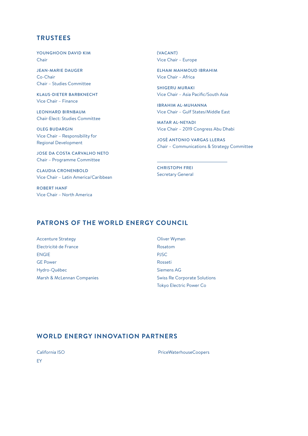### **TRUSTEES**

YOUNGHOON DAVID KIM Chair

JEAN-MARIE DAUGER Co-Chair Chair – Studies Committee

KLAUS-DIETER BARBKNECHT Vice Chair – Finance

LEONHARD BIRNBAUM Chair-Elect: Studies Committee

OLEG BUDARGIN Vice Chair – Responsibility for Regional Development

JOSE DA COSTA CARVALHO NETO Chair – Programme Committee

CLAUDIA CRONENBOLD Vice Chair – Latin America/Caribbean

ROBERT HANF Vice Chair – North America

(VACANT) Vice Chair – Europe

ELHAM MAHMOUD IBRAHIM Vice Chair – Africa

SHIGERU MURAKI Vice Chair – Asia Pacific/South Asia

IBRAHIM AL-MUHANNA Vice Chair – Gulf States/Middle East

MATAR AL-NEYADI Vice Chair – 2019 Congress Abu Dhabi

JOSÉ ANTONIO VARGAS LLERAS Chair – Communications & Strategy Committee

CHRISTOPH FREI Secretary General

### **PATRONS OF THE WORLD ENERGY COUNCIL**

Accenture Strategy Electricité de France ENGIE GE Power Hydro-Québec Marsh & McLennan Companies Oliver Wyman Rosatom PJSC Rosseti Siemens AG Swiss Re Corporate Solutions Tokyo Electric Power Co

### **WORLD ENERGY INNOVATION PARTNERS**

California ISO EY

PriceWaterhouseCoopers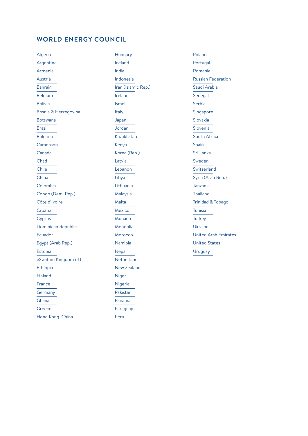### **WORLD ENERGY COUNCIL**

Algeria Argentina Armenia Austria Bahrain Belgium Bolivia Bosnia & Herzegovina Botswana Brazil Bulgaria Cameroon Canada Chad Chile China Colombia Congo (Dem. Rep.) Côte d'Ivoire Croatia Cyprus Dominican Republic Ecuador Egypt (Arab Rep.) Estonia eSwatini (Kingdom of) Ethiopia Finland France Germany Ghana Greece Hong Kong, China

Hungary Iceland India Indonesia Iran (Islamic Rep.) Ireland Israel Italy Japan Jordan Kazakhstan Kenya Korea (Rep.) Latvia Lebanon Libya Lithuania Malaysia Malta Mexico Monaco Mongolia Morocco Namibia Nepal **Netherlands** New Zealand Niger Nigeria Pakistan Panama Paraguay Peru

Poland Portugal Romania Russian Federation Saudi Arabia Senegal Serbia Singapore Slovakia Slovenia South Africa Spain Sri Lanka Sweden Switzerland Syria (Arab Rep.) Tanzania Thailand Trinidad & Tobago Tunisia **Turkey** Ukraine United Arab Emirates United States Uruguay